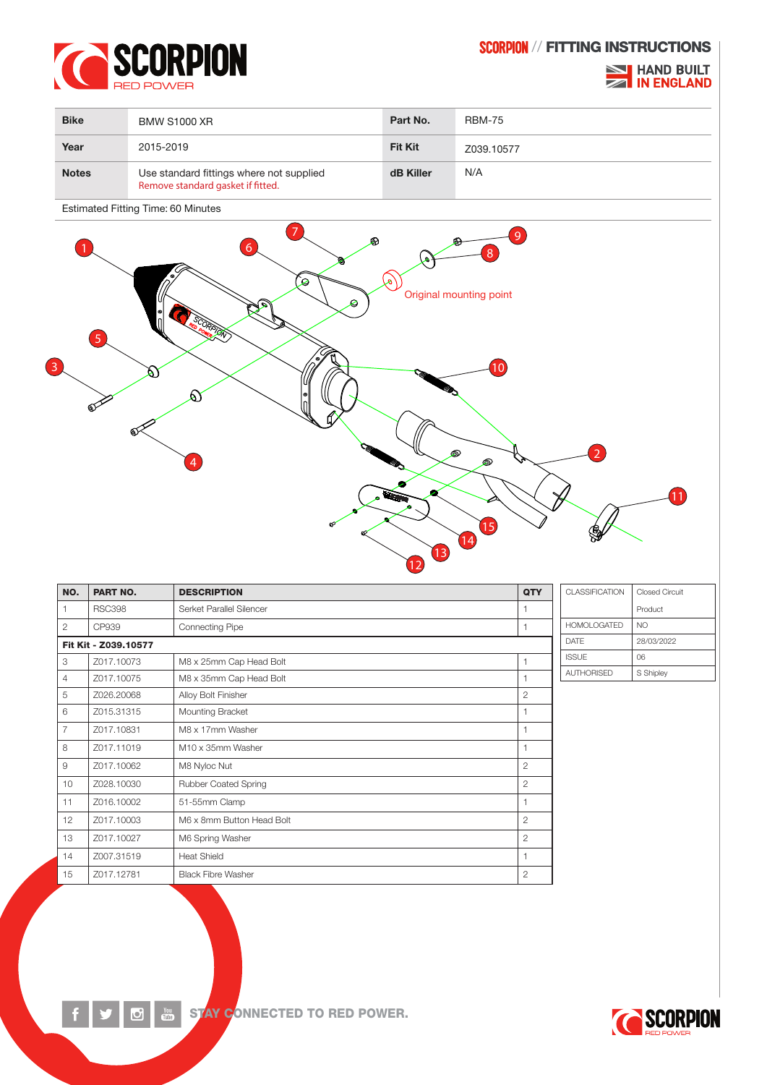

SCORPION // FITTING INSTRUCTIONS

## **NO HAND BUILT ZA IN ENGLAND**

| <b>Bike</b>  | <b>BMW S1000 XR</b>                                                           | Part No.       | <b>RBM-75</b> |
|--------------|-------------------------------------------------------------------------------|----------------|---------------|
| Year         | 2015-2019                                                                     | <b>Fit Kit</b> | Z039.10577    |
| <b>Notes</b> | Use standard fittings where not supplied<br>Remove standard gasket if fitted. | dB Killer      | N/A           |

Estimated Fitting Time: 60 Minutes

 $\overline{\mathbf{C}}$ 



| NO.                  | PART NO.      | <b>DESCRIPTION</b>        | QTY                   | CLASSIFICATION     | <b>Closed Circuit</b> |
|----------------------|---------------|---------------------------|-----------------------|--------------------|-----------------------|
|                      | <b>RSC398</b> | Serket Parallel Silencer  | 1                     |                    | Product               |
| $\overline{2}$       | CP939         | <b>Connecting Pipe</b>    |                       | <b>HOMOLOGATED</b> | NO.                   |
| Fit Kit - Z039.10577 |               |                           | <b>DATE</b>           | 28/03/2022         |                       |
| 3                    | Z017.10073    | M8 x 25mm Cap Head Bolt   | 1                     | <b>ISSUE</b>       | 06                    |
| 4                    | Z017.10075    | M8 x 35mm Cap Head Bolt   | 1                     | <b>AUTHORISED</b>  | S Shipley             |
| 5                    | Z026.20068    | Alloy Bolt Finisher       | $\mathbf{2}$          |                    |                       |
| 6                    | Z015.31315    | Mounting Bracket          | 1                     |                    |                       |
| 7                    | Z017.10831    | M8 x 17mm Washer          | 1                     |                    |                       |
| 8                    | Z017.11019    | M10 x 35mm Washer         | 1                     |                    |                       |
| 9                    | Z017.10062    | M8 Nyloc Nut              | $\mathbf{2}$          |                    |                       |
| 10                   | Z028.10030    | Rubber Coated Spring      | $\mathbf{2}$          |                    |                       |
| 11                   | Z016.10002    | 51-55mm Clamp             | 1                     |                    |                       |
| 12                   | Z017.10003    | M6 x 8mm Button Head Bolt | $\mathbf{2}^{\prime}$ |                    |                       |
| 13                   | Z017.10027    | M6 Spring Washer          | $\mathbf{2}$          |                    |                       |
| 14                   | Z007.31519    | <b>Heat Shield</b>        | 1                     |                    |                       |
| 15                   | Z017.12781    | <b>Black Fibre Washer</b> | 2                     |                    |                       |



STAY CONNECTED TO RED POWER.